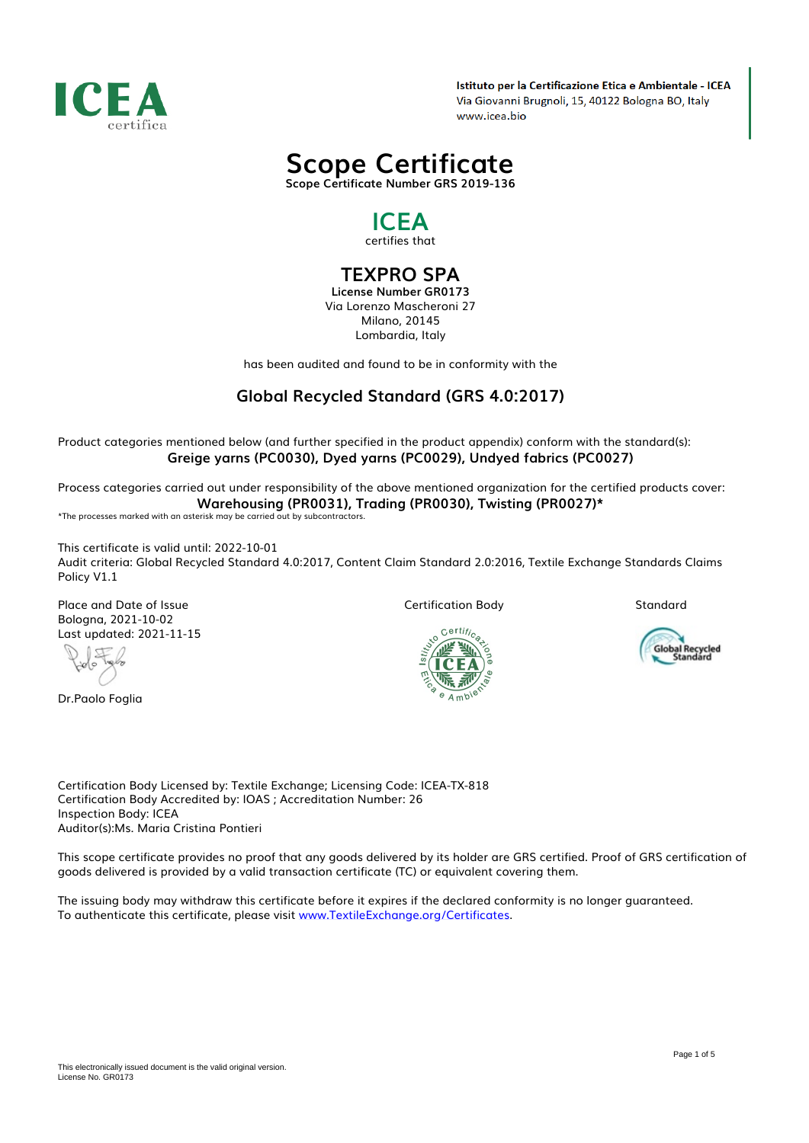

Istituto per la Certificazione Etica e Ambientale - ICEA Via Giovanni Brugnoli, 15, 40122 Bologna BO, Italy www.icea.bio



*Scope Certificate Number GRS 2019-136*

## *ICEA certifies that*

*TEXPRO SPA*

*License Number GR0173 Via Lorenzo Mascheroni 27 Milano, 20145 Lombardia, Italy*

*has been audited and found to be in conformity with the*

## *Global Recycled Standard (GRS 4.0:2017)*

*Product categories mentioned below (and further specified in the product appendix) conform with the standard(s): Greige yarns (PC0030), Dyed yarns (PC0029), Undyed fabrics (PC0027)*

*Process categories carried out under responsibility of the above mentioned organization for the certified products cover: Warehousing (PR0031), Trading (PR0030), Twisting (PR0027)\* \*The processes marked with an asterisk may be carried out by subcontractors.*

*This certificate is valid until: 2022-10-01*

*Audit criteria: Global Recycled Standard 4.0:2017, Content Claim Standard 2.0:2016, Textile Exchange Standards Claims Policy V1.1*

*Place and Date of Issue Bologna, 2021-10-02 Last updated: 2021-11-15*

đ

*Dr.Paolo Foglia*

*Certification Body*

*Standard*



Global Recycled<br>Standard

*Certification Body Licensed by: Textile Exchange; Licensing Code: ICEA-TX-818 Certification Body Accredited by: IOAS ; Accreditation Number: 26 Inspection Body: ICEA Auditor(s):Ms. Maria Cristina Pontieri*

*This scope certificate provides no proof that any goods delivered by its holder are GRS certified. Proof of GRS certification of goods delivered is provided by a valid transaction certificate (TC) or equivalent covering them.*

*The issuing body may withdraw this certificate before it expires if the declared conformity is no longer guaranteed. To authenticate this certificate, please visit www.TextileExchange.org/Certificates.*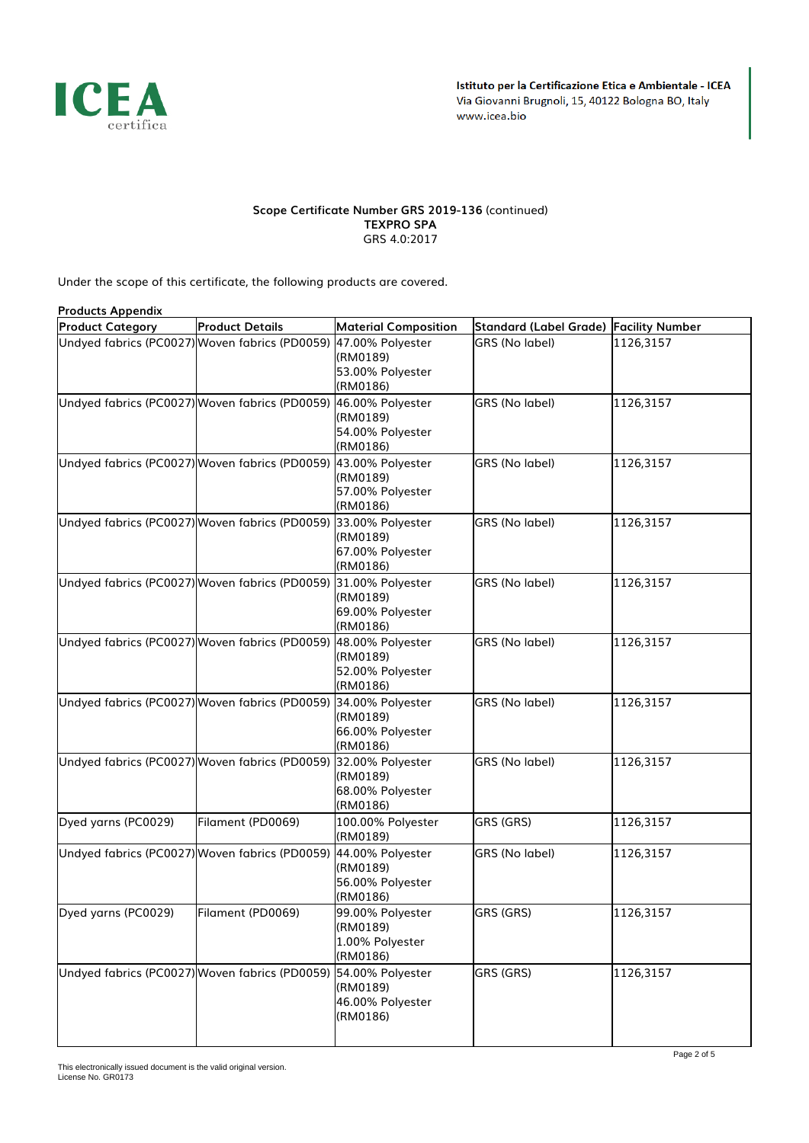

## *Scope Certificate Number GRS 2019-136 (continued) TEXPRO SPA GRS 4.0:2017*

*Under the scope of this certificate, the following products are covered.*

| <b>Products Appendix</b>                                        |                        |                                                              |                                        |           |  |  |  |
|-----------------------------------------------------------------|------------------------|--------------------------------------------------------------|----------------------------------------|-----------|--|--|--|
| <b>Product Category</b>                                         | <b>Product Details</b> | <b>Material Composition</b>                                  | Standard (Label Grade) Facility Number |           |  |  |  |
| Undyed fabrics (PC0027) Woven fabrics (PD0059) 47.00% Polyester |                        | (RM0189)<br>53.00% Polyester<br>(RM0186)                     | GRS (No label)                         | 1126,3157 |  |  |  |
| Undyed fabrics (PC0027) Woven fabrics (PD0059) 46.00% Polyester |                        | (RM0189)<br>54.00% Polyester<br>(RM0186)                     | GRS (No label)                         | 1126,3157 |  |  |  |
| Undyed fabrics (PC0027) Woven fabrics (PD0059) 43.00% Polyester |                        | (RM0189)<br>57.00% Polyester<br>(RM0186)                     | GRS (No label)                         | 1126,3157 |  |  |  |
| Undyed fabrics (PC0027) Woven fabrics (PD0059) 33.00% Polyester |                        | (RM0189)<br>67.00% Polyester<br>(RM0186)                     | GRS (No label)                         | 1126,3157 |  |  |  |
| Undyed fabrics (PC0027) Woven fabrics (PD0059) 31.00% Polyester |                        | (RM0189)<br>69.00% Polyester<br>(RM0186)                     | GRS (No label)                         | 1126,3157 |  |  |  |
| Undyed fabrics (PC0027) Woven fabrics (PD0059) 48.00% Polyester |                        | (RM0189)<br>52.00% Polyester<br>(RM0186)                     | GRS (No label)                         | 1126,3157 |  |  |  |
| Undyed fabrics (PC0027) Woven fabrics (PD0059) 34.00% Polyester |                        | (RM0189)<br>66.00% Polyester<br>(RM0186)                     | GRS (No label)                         | 1126,3157 |  |  |  |
| Undyed fabrics (PC0027) Woven fabrics (PD0059) 32.00% Polyester |                        | (RM0189)<br>68.00% Polyester<br>(RM0186)                     | GRS (No label)                         | 1126,3157 |  |  |  |
| Dyed yarns (PC0029)                                             | Filament (PD0069)      | 100.00% Polyester<br>(RM0189)                                | GRS (GRS)                              | 1126,3157 |  |  |  |
| Undyed fabrics (PC0027) Woven fabrics (PD0059)                  |                        | 44.00% Polyester<br>(RM0189)<br>56.00% Polyester<br>(RM0186) | GRS (No label)                         | 1126,3157 |  |  |  |
| Dyed yarns (PC0029)                                             | Filament (PD0069)      | 99.00% Polyester<br>(RM0189)<br>1.00% Polyester<br>(RM0186)  | GRS (GRS)                              | 1126,3157 |  |  |  |
| Undyed fabrics (PC0027) Woven fabrics (PD0059) 54.00% Polyester |                        | (RM0189)<br>46.00% Polyester<br>(RM0186)                     | GRS (GRS)                              | 1126,3157 |  |  |  |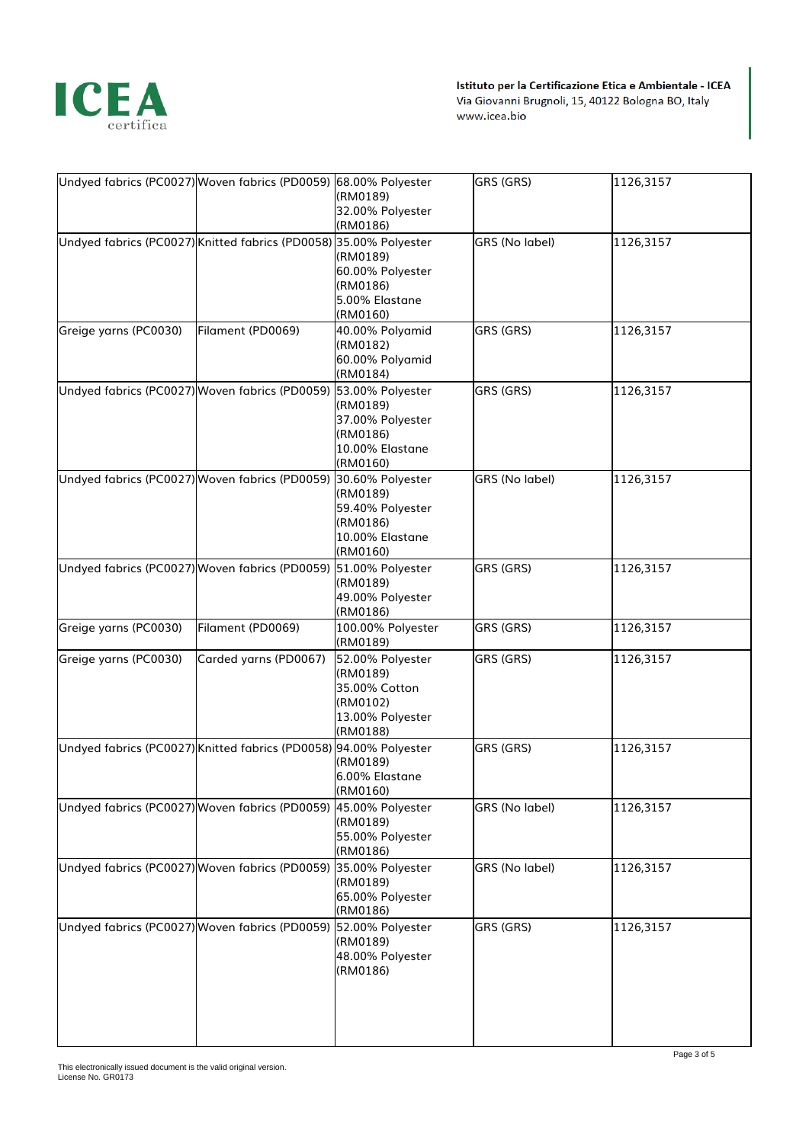

|                                                | Undyed fabrics (PC0027) Woven fabrics (PD0059) 68.00% Polyester   | (RM0189)<br>32.00% Polyester<br>(RM0186)                                                  | GRS (GRS)      | 1126,3157 |
|------------------------------------------------|-------------------------------------------------------------------|-------------------------------------------------------------------------------------------|----------------|-----------|
|                                                | Undyed fabrics (PC0027) Knitted fabrics (PD0058) 35.00% Polyester | (RM0189)<br>60.00% Polyester<br>(RM0186)<br>5.00% Elastane<br>(RM0160)                    | GRS (No label) | 1126,3157 |
| Greige yarns (PC0030)                          | Filament (PD0069)                                                 | 40.00% Polyamid<br>(RM0182)<br>60.00% Polyamid<br>(RM0184)                                | GRS (GRS)      | 1126,3157 |
|                                                | Undyed fabrics (PC0027) Woven fabrics (PD0059) 53.00% Polyester   | (RM0189)<br>37.00% Polyester<br>(RM0186)<br>10.00% Elastane<br>(RM0160)                   | GRS (GRS)      | 1126,3157 |
|                                                | Undyed fabrics (PC0027) Woven fabrics (PD0059) 30.60% Polyester   | (RM0189)<br>59.40% Polyester<br>(RM0186)<br>10.00% Elastane<br>(RM0160)                   | GRS (No label) | 1126,3157 |
|                                                | Undyed fabrics (PC0027) Woven fabrics (PD0059) 51.00% Polyester   | (RM0189)<br>49.00% Polyester<br>(RM0186)                                                  | GRS (GRS)      | 1126,3157 |
| Greige yarns (PC0030)                          | Filament (PD0069)                                                 | 100.00% Polyester<br>(RM0189)                                                             | GRS (GRS)      | 1126,3157 |
| Greige yarns (PC0030)                          | Carded yarns (PD0067)                                             | 52.00% Polyester<br>(RM0189)<br>35.00% Cotton<br>(RM0102)<br>13.00% Polyester<br>(RM0188) | GRS (GRS)      | 1126,3157 |
|                                                | Undyed fabrics (PC0027) Knitted fabrics (PD0058) 94.00% Polyester | (RM0189)<br>6.00% Elastane<br>(RM0160)                                                    | GRS (GRS)      | 1126,3157 |
|                                                | Undyed fabrics (PC0027) Woven fabrics (PD0059) 45.00% Polyester   | (RM0189)<br>55.00% Polyester<br>(RM0186)                                                  | GRS (No label) | 1126,3157 |
| Undyed fabrics (PC0027) Woven fabrics (PD0059) |                                                                   | 35.00% Polyester<br>(RM0189)<br>65.00% Polyester<br>(RM0186)                              | GRS (No label) | 1126,3157 |
|                                                | Undyed fabrics (PC0027) Woven fabrics (PD0059) 52.00% Polyester   | (RM0189)<br>48.00% Polyester<br>(RM0186)                                                  | GRS (GRS)      | 1126,3157 |